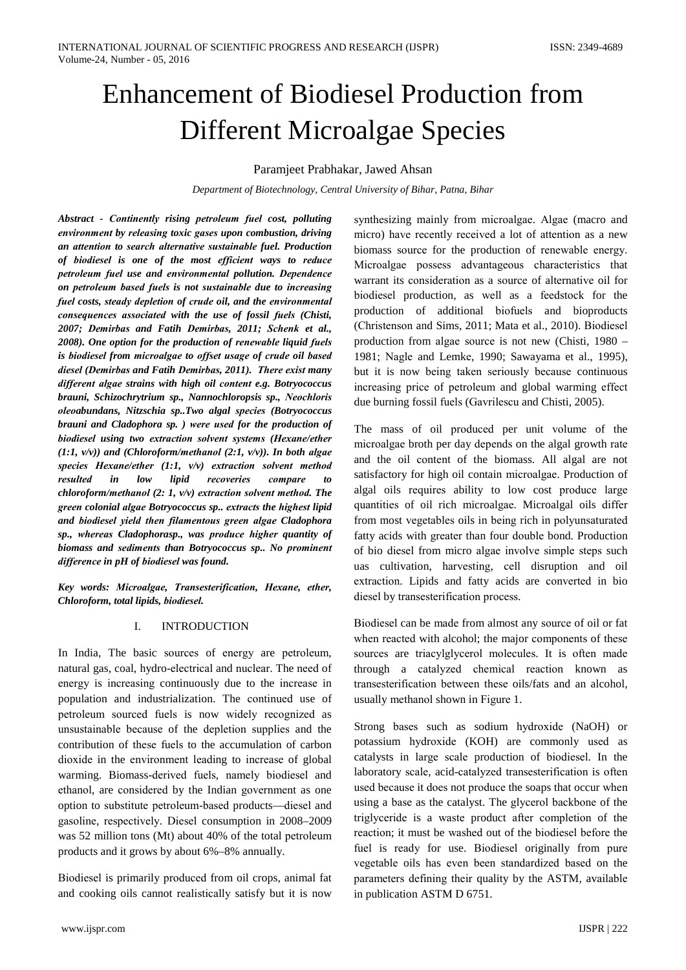# Enhancement of Biodiesel Production from **Different Microalgae Species**

Paramjeet Prabhakar, Jawed Ahsan

Department of Biotechnology, Central University of Bihar, Patna, Bihar

Abstract - Continently rising petroleum fuel cost, polluting environment by releasing toxic gases upon combustion, driving an attention to search alternative sustainable fuel. Production of biodiesel is one of the most efficient ways to reduce petroleum fuel use and environmental pollution. Dependence on petroleum based fuels is not sustainable due to increasing fuel costs, steady depletion of crude oil, and the environmental consequences associated with the use of fossil fuels (Chisti, 2007; Demirbas and Fatih Demirbas, 2011; Schenk et al., 2008). One option for the production of renewable liquid fuels is biodiesel from microalgae to offset usage of crude oil based diesel (Demirbas and Fatih Demirbas, 2011). There exist many different algae strains with high oil content e.g. Botryococcus brauni, Schizochrytrium sp., Nannochloropsis sp., Neochloris oleoabundans, Nitzschia sp..Two algal species (Botryococcus brauni and Cladophora sp. ) were used for the production of biodiesel using two extraction solvent systems (Hexane/ether  $(1:1, v/v)$  and (Chloroform/methanol  $(2:1, v/v)$ ). In both algae species Hexane/ether  $(1:1, v/v)$  extraction solvent method recoveries resulted in  $low$ lipid compare  $\overline{f}$ chloroform/methanol  $(2:1, v/v)$  extraction solvent method. The green colonial algae Botryococcus sp.. extracts the highest lipid and biodiesel yield then filamentous green algae Cladophora sp., whereas Cladophorasp., was produce higher quantity of biomass and sediments than Botryococcus sp.. No prominent difference in  $pH$  of biodiesel was found.

Key words: Microalgae, Transesterification, Hexane, ether, Chloroform, total lipids, biodiesel.

## $\mathbf{I}$ . **INTRODUCTION**

In India, The basic sources of energy are petroleum, natural gas, coal, hydro-electrical and nuclear. The need of energy is increasing continuously due to the increase in population and industrialization. The continued use of petroleum sourced fuels is now widely recognized as unsustainable because of the depletion supplies and the contribution of these fuels to the accumulation of carbon dioxide in the environment leading to increase of global warming. Biomass-derived fuels, namely biodiesel and ethanol, are considered by the Indian government as one option to substitute petroleum-based products—diesel and gasoline, respectively. Diesel consumption in 2008–2009 was 52 million tons (Mt) about 40% of the total petroleum products and it grows by about 6%–8% annually.

Biodiesel is primarily produced from oil crops, animal fat and cooking oils cannot realistically satisfy but it is now

synthesizing mainly from microalgae. Algae (macro and micro) have recently received a lot of attention as a new biomass source for the production of renewable energy. Microalgae possess advantageous characteristics that warrant its consideration as a source of alternative oil for biodiesel production, as well as a feedstock for the production of additional biofuels and bioproducts (Christenson and Sims, 2011; Mata et al., 2010). Biodiesel production from algae source is not new (Chisti, 1980 – 1981; Nagle and Lemke, 1990; Sawayama et al., 1995), but it is now being taken seriously because continuous increasing price of petroleum and global warming effect due burning fossil fuels (Gavrilescu and Chisti, 2005).

The mass of oil produced per unit volume of the microalgae broth per day depends on the algal growth rate and the oil content of the biomass. All algal are not satisfactory for high oil contain microalgae. Production of algal oils requires ability to low cost produce large quantities of oil rich microalgae. Microalgal oils differ from most vegetables oils in being rich in polyunsaturated fatty acids with greater than four double bond. Production of bio diesel from micro algae involve simple steps such uas cultivation, harvesting, cell disruption and oil extraction. Lipids and fatty acids are converted in bio diesel by transesterification process.

Biodiesel can be made from almost any source of oil or fat when reacted with alcohol; the major components of these sources are triacylglycerol molecules. It is often made through a catalyzed chemical reaction known as transesterification between these oils/fats and an alcohol, usually methanol shown in Figure 1.

Strong bases such as sodium hydroxide (NaOH) or potassium hydroxide (KOH) are commonly used as catalysts in large scale production of biodiesel. In the laboratory scale, acid-catalyzed transesterification is often used because it does not produce the soaps that occur when using a base as the catalyst. The glycerol backbone of the triglyceride is a waste product after completion of the reaction; it must be washed out of the biodiesel before the fuel is ready for use. Biodiesel originally from pure vegetable oils has even been standardized based on the parameters defining their quality by the ASTM, available in publication ASTM D 6751.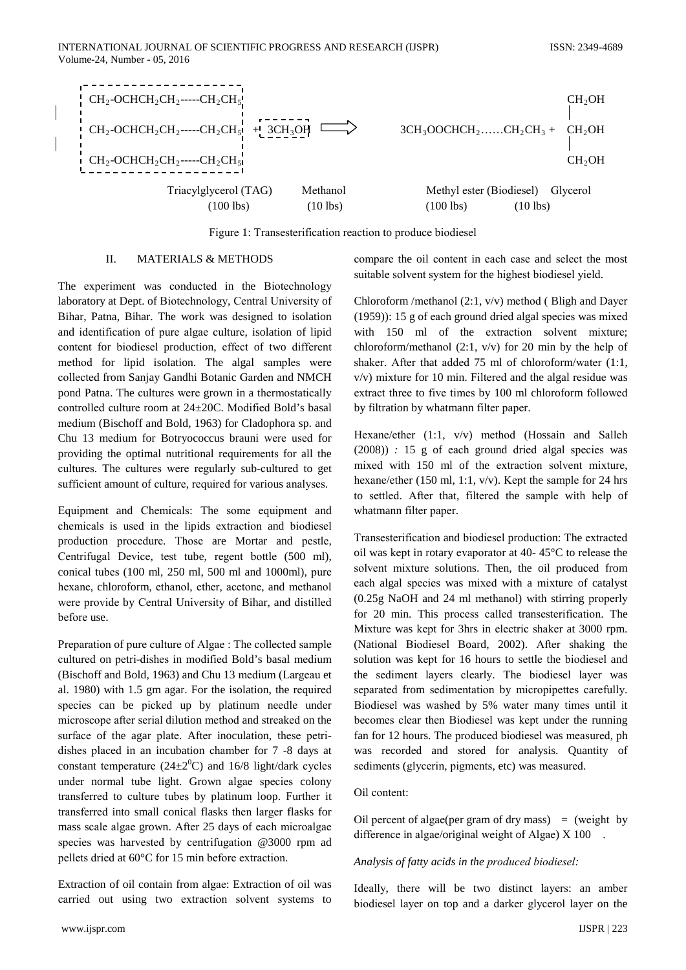

Figure 1: Transesterification reaction to produce biodiesel

#### Π. **MATERIALS & METHODS**

The experiment was conducted in the Biotechnology laboratory at Dept. of Biotechnology, Central University of Bihar, Patna, Bihar. The work was designed to isolation and identification of pure algae culture, isolation of lipid content for biodiesel production, effect of two different method for lipid isolation. The algal samples were collected from Sanjay Gandhi Botanic Garden and NMCH pond Patna. The cultures were grown in a thermostatically controlled culture room at 24±20C. Modified Bold's basal medium (Bischoff and Bold, 1963) for Cladophora sp. and Chu 13 medium for Botryococcus brauni were used for providing the optimal nutritional requirements for all the cultures. The cultures were regularly sub-cultured to get sufficient amount of culture, required for various analyses.

Equipment and Chemicals: The some equipment and chemicals is used in the lipids extraction and biodiesel production procedure. Those are Mortar and pestle, Centrifugal Device, test tube, regent bottle (500 ml), conical tubes (100 ml, 250 ml, 500 ml and 1000ml), pure hexane, chloroform, ethanol, ether, acetone, and methanol were provide by Central University of Bihar, and distilled before use.

Preparation of pure culture of Algae : The collected sample cultured on petri-dishes in modified Bold's basal medium (Bischoff and Bold, 1963) and Chu 13 medium (Largeau et al. 1980) with 1.5 gm agar. For the isolation, the required species can be picked up by platinum needle under microscope after serial dilution method and streaked on the surface of the agar plate. After inoculation, these petridishes placed in an incubation chamber for 7 -8 days at constant temperature  $(24\pm2^0C)$  and 16/8 light/dark cycles under normal tube light. Grown algae species colony transferred to culture tubes by platinum loop. Further it transferred into small conical flasks then larger flasks for mass scale algae grown. After 25 days of each microalgae species was harvested by centrifugation @3000 rpm ad pellets dried at 60°C for 15 min before extraction.

Extraction of oil contain from algae: Extraction of oil was carried out using two extraction solvent systems to

compare the oil content in each case and select the most suitable solvent system for the highest biodiesel vield.

Chloroform /methanol  $(2:1, v/v)$  method (Bligh and Dayer  $(1959)$ : 15 g of each ground dried algal species was mixed with 150 ml of the extraction solvent mixture; chloroform/methanol  $(2.1, v/v)$  for 20 min by the help of shaker. After that added  $75$  ml of chloroform/water  $(1:1]$ .  $v/v$ ) mixture for 10 min. Filtered and the algal residue was extract three to five times by 100 ml chloroform followed by filtration by whatmann filter paper.

Hexane/ether (1:1, v/v) method (Hossain and Salleh  $(2008)$ : 15 g of each ground dried algal species was mixed with 150 ml of the extraction solvent mixture, hexane/ether (150 ml, 1:1,  $v/v$ ). Kept the sample for 24 hrs to settled. After that, filtered the sample with help of whatmann filter paper.

Transesterification and biodiesel production: The extracted oil was kept in rotary evaporator at 40-45°C to release the solvent mixture solutions. Then, the oil produced from each algal species was mixed with a mixture of catalyst  $(0.25g$  NaOH and 24 ml methanol) with stirring properly for 20 min. This process called transesterification. The Mixture was kept for 3hrs in electric shaker at 3000 rpm. (National Biodiesel Board, 2002). After shaking the solution was kept for 16 hours to settle the biodiesel and the sediment layers clearly. The biodiesel layer was separated from sedimentation by micropipettes carefully. Biodiesel was washed by 5% water many times until it becomes clear then Biodiesel was kept under the running fan for 12 hours. The produced biodiesel was measured, ph was recorded and stored for analysis. Quantity of sediments (glycerin, pigments, etc) was measured.

## Oil content:

Oil percent of algae(per gram of dry mass) = (weight by difference in algae/original weight of Algae)  $X$  100.

## Analysis of fatty acids in the produced biodiesel:

Ideally, there will be two distinct layers: an amber biodiesel layer on top and a darker glycerol layer on the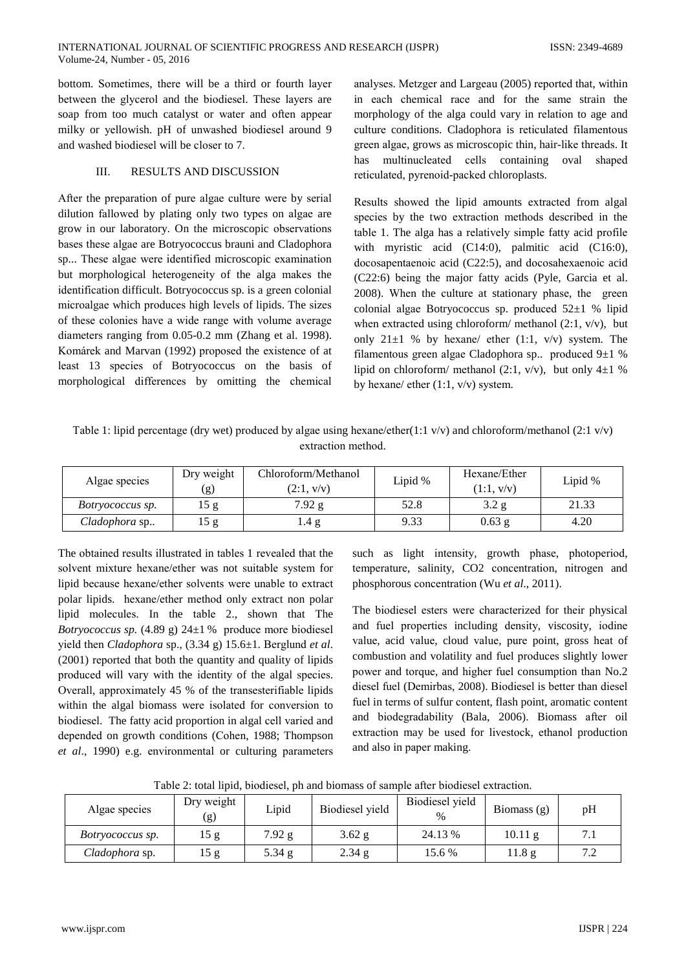bottom. Sometimes, there will be a third or fourth layer between the glycerol and the biodiesel. These layers are soap from too much catalyst or water and often appear milky or yellowish. pH of unwashed biodiesel around 9 and washed biodiesel will be closer to 7.

## III. **RESULTS AND DISCUSSION**

After the preparation of pure algae culture were by serial dilution fallowed by plating only two types on algae are grow in our laboratory. On the microscopic observations bases these algae are Botryococcus brauni and Cladophora sp... These algae were identified microscopic examination but morphological heterogeneity of the alga makes the identification difficult. Botryococcus sp. is a green colonial microalgae which produces high levels of lipids. The sizes of these colonies have a wide range with volume average diameters ranging from 0.05-0.2 mm (Zhang et al. 1998). Komárek and Marvan (1992) proposed the existence of at least 13 species of Botryococcus on the basis of morphological differences by omitting the chemical

analyses. Metzger and Largeau (2005) reported that, within in each chemical race and for the same strain the morphology of the alga could vary in relation to age and culture conditions. Cladophora is reticulated filamentous green algae, grows as microscopic thin, hair-like threads. It has multinucleated cells containing oval shaped reticulated, pyrenoid-packed chloroplasts.

Results showed the lipid amounts extracted from algal species by the two extraction methods described in the table 1. The alga has a relatively simple fatty acid profile with myristic acid  $(C14:0)$ , palmitic acid  $(C16:0)$ , docosapentaenoic acid (C22:5), and docosahexaenoic acid (C22:6) being the major fatty acids (Pyle, Garcia et al. 2008). When the culture at stationary phase, the green colonial algae Botryococcus sp. produced  $52\pm1$  % lipid when extracted using chloroform/ methanol  $(2:1, v/v)$ , but only  $21\pm1$  % by hexane/ ether (1:1, v/v) system. The filamentous green algae Cladophora sp.. produced 9±1 % lipid on chloroform/ methanol (2:1,  $v/v$ ), but only 4 $\pm$ 1 % by hexane/ ether  $(1:1, v/v)$  system.

Table 1: lipid percentage (dry wet) produced by algae using hexane/ether(1:1 v/v) and chloroform/methanol (2:1 v/v) extraction method.

| Algae species    | Dry weight<br>Chloroform/Methanol<br>(2:1, v/v)<br>(g) |          | Lipid % | Hexane/Ether<br>(1:1, v/v) | Lipid % |
|------------------|--------------------------------------------------------|----------|---------|----------------------------|---------|
| Botryococcus sp. | .5 g                                                   | $7.92$ g | 52.8    | 3.2 g                      | 21.33   |
| Cladophora sp    | 15 g                                                   | 1.4 g    | 9.33    | $0.63$ g                   | 4.20    |

The obtained results illustrated in tables 1 revealed that the solvent mixture hexane/ether was not suitable system for lipid because hexane/ether solvents were unable to extract polar lipids. hexane/ether method only extract non polar lipid molecules. In the table 2., shown that The *Botryococcus sp.* (4.89 g)  $24\pm1$  % produce more biodiesel yield then *Cladophora* sp., (3.34 g) 15.6±1. Berglund et al. (2001) reported that both the quantity and quality of lipids produced will vary with the identity of the algal species. Overall, approximately 45 % of the transesterifiable lipids within the algal biomass were isolated for conversion to biodiesel. The fatty acid proportion in algal cell varied and depended on growth conditions (Cohen, 1988; Thompson et al., 1990) e.g. environmental or culturing parameters

such as light intensity, growth phase, photoperiod, temperature, salinity, CO2 concentration, nitrogen and phosphorous concentration (Wu et al., 2011).

The biodiesel esters were characterized for their physical and fuel properties including density, viscosity, iodine value, acid value, cloud value, pure point, gross heat of combustion and volatility and fuel produces slightly lower power and torque, and higher fuel consumption than No.2 diesel fuel (Demirbas, 2008). Biodiesel is better than diesel fuel in terms of sulfur content, flash point, aromatic content and biodegradability (Bala, 2006). Biomass after oil extraction may be used for livestock, ethanol production and also in paper making.

| Algae species    | Dry weight<br>(g) | Lipid    | Biodiesel yield | Biodiesel yield<br>$\%$ | Biomass $(g)$ | pH         |
|------------------|-------------------|----------|-----------------|-------------------------|---------------|------------|
| Botryococcus sp. | 15g               | $7.92$ g | $3.62$ g        | 24.13 %                 | 10.11 g       | 7.1        |
| Cladophora sp.   | 15 g              | 5.34 g   | 2.34 g          | 15.6 %                  | 11.8 g        | 7.3<br>ے ، |